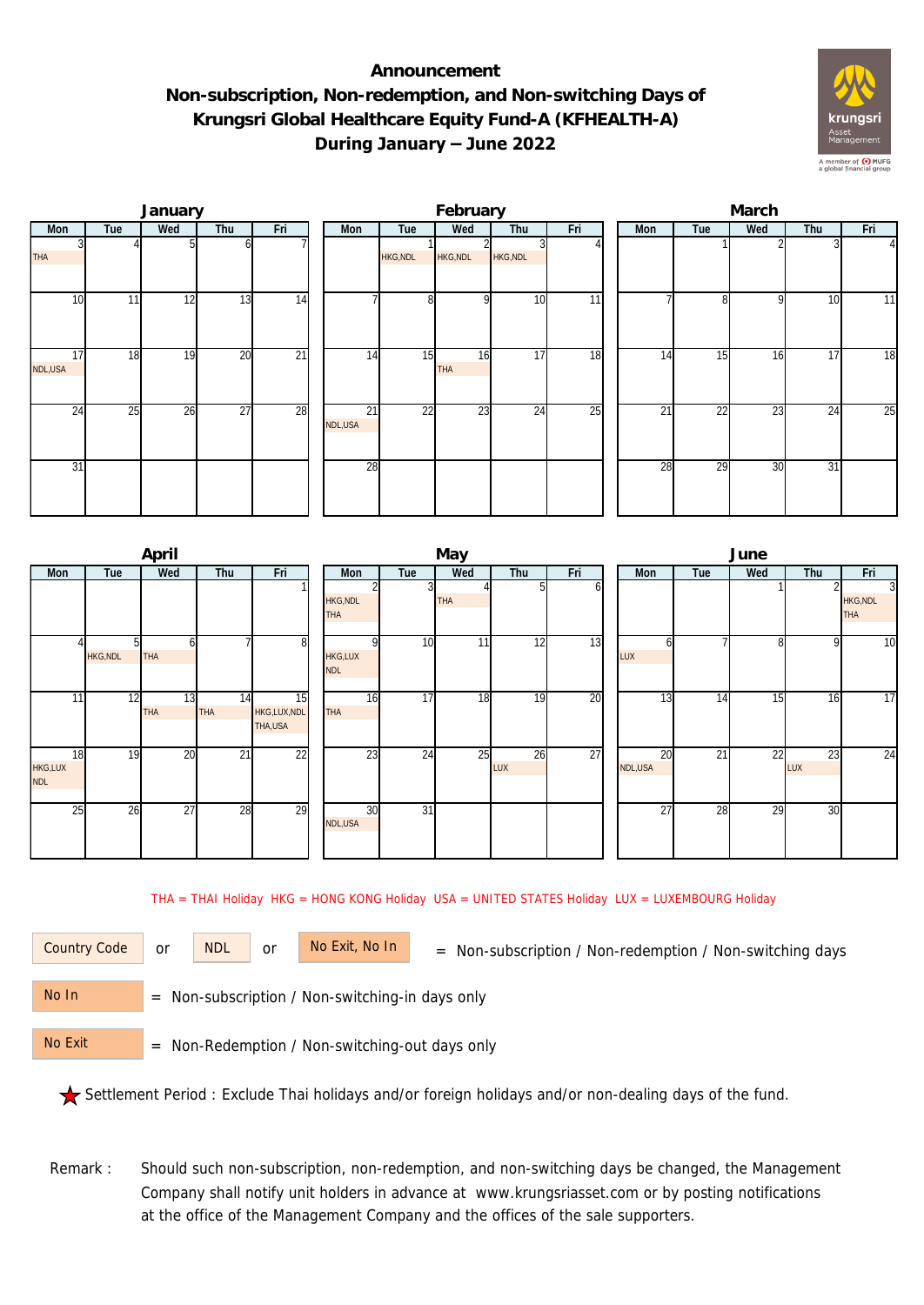## **Announcement Non-subscription, Non-redemption, and Non-switching Days of Krungsri Global Healthcare Equity Fund-A (KFHEALTH-A) During January – June 2022**



|               |     | January |                 |                 |               |                 | February        |          |                 | March |     |     |     |          |  |  |
|---------------|-----|---------|-----------------|-----------------|---------------|-----------------|-----------------|----------|-----------------|-------|-----|-----|-----|----------|--|--|
| Mon           | Tue | Wed     | Thu             | Fri             | Mon           | Tue             | Wed             | Thu      | Fri             | Mon   | Tue | Wed | Thu | Fri      |  |  |
| <b>THA</b>    |     |         | ωI              |                 |               | HKG, NDL        | <b>HKG, NDL</b> | HKG, NDL |                 |       |     |     |     | $\Delta$ |  |  |
| 10            | 11  | 12      | 13              | 14              |               | 8               | οI              | 10       | 11              |       | 81  | 9   | 10  | 11       |  |  |
| 17<br>NDL,USA | 18  | 19      | 20              | $\overline{21}$ | 14            | 15              | 16<br>THA       | 17       | $\overline{18}$ | 14    | 15  | 16  | 17  | 18       |  |  |
| 24            | 25  | 26      | $\overline{27}$ | 28              | 21<br>NDL,USA | $\overline{22}$ | 23              | 24       | $\overline{25}$ | 21    | 22  | 23  | 24  | 25       |  |  |
| 31            |     |         |                 |                 | 28            |                 |                 |          |                 | 28    | 29  | 30  | 31  |          |  |  |

|                             |                | April            |                  |                               |                               |                 | May |                  |     | June          |     |                 |           |                                                 |  |  |
|-----------------------------|----------------|------------------|------------------|-------------------------------|-------------------------------|-----------------|-----|------------------|-----|---------------|-----|-----------------|-----------|-------------------------------------------------|--|--|
| Mon                         | Tue            | Wed              | Thu              | Fri                           | Mon                           | Tue             | Wed | Thu              | Fri | <b>Mon</b>    | Tue | Wed             | Thu       | Fri                                             |  |  |
|                             |                |                  |                  |                               | <b>HKG, NDL</b><br><b>THA</b> |                 | THA |                  | ΩI  |               |     |                 |           | $\overline{3}$<br><b>HKG, NDL</b><br><b>THA</b> |  |  |
|                             | <b>HKG,NDL</b> | THA              |                  | $8 \,$                        | ΩI<br>HKG,LUX<br><b>NDL</b>   | 10 <sup>1</sup> | 11  | 12               | 13  | LUX           |     | 8               | 9         | 10                                              |  |  |
| 11                          | 12             | 13<br><b>THA</b> | 14<br><b>THA</b> | 15<br>HKG,LUX,NDL<br>THA, USA | 16<br><b>THA</b>              | 17              | 18  | 19               | 20  | 13            | 14  | $1\overline{5}$ | 16        | 17                                              |  |  |
| 18<br>HKG,LUX<br><b>NDL</b> | 19             | 20               | $\overline{21}$  | 22                            | 23                            | 24              | 25  | 26<br><b>LUX</b> | 27  | 20<br>NDL,USA | 21  | 22              | 23<br>LUX | 24                                              |  |  |
| 25                          | 26             | 27               | 28               | 29                            | 30<br>NDL,USA                 | 31              |     |                  |     | 27            | 28  | 29              | 30        |                                                 |  |  |

THA = THAI Holiday HKG = HONG KONG Holiday USA = UNITED STATES Holiday LUX = LUXEMBOURG Holiday

or NDL or

Country Code or NDL or No Exit, No In = Non-subscription / Non-redemption / Non-switching days

 = Non-subscription / Non-switching-in days only No In

 = Non-Redemption / Non-switching-out days only No Exit

Settlement Period : Exclude Thai holidays and/or foreign holidays and/or non-dealing days of the fund.

Remark : Should such non-subscription, non-redemption, and non-switching days be changed, the Management Company shall notify unit holders in advance at www.krungsriasset.com or by posting notifications at the office of the Management Company and the offices of the sale supporters.